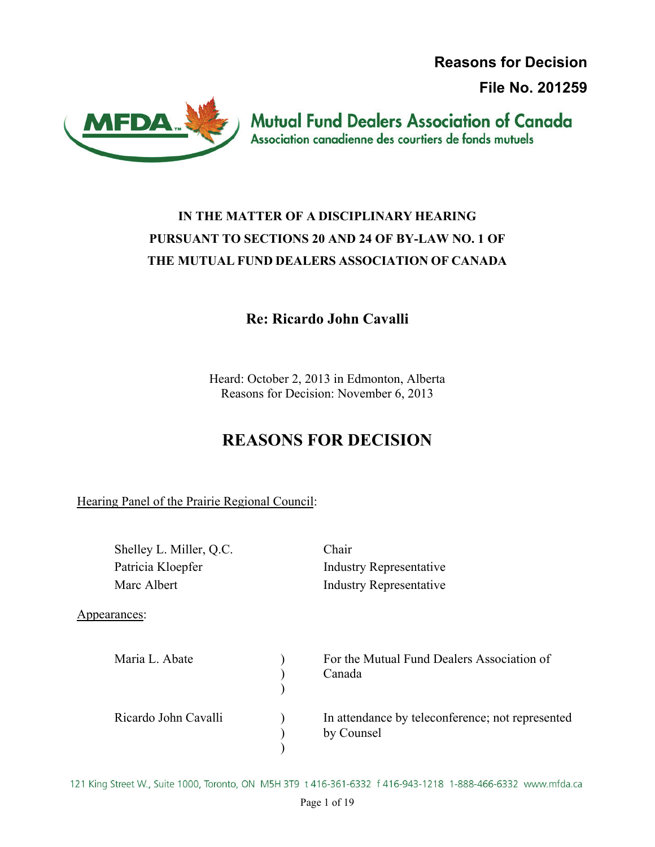**Reasons for Decision**

**File No. 201259**



**Mutual Fund Dealers Association of Canada** Association canadienne des courtiers de fonds mutuels

# **IN THE MATTER OF A DISCIPLINARY HEARING PURSUANT TO SECTIONS 20 AND 24 OF BY-LAW NO. 1 OF THE MUTUAL FUND DEALERS ASSOCIATION OF CANADA**

### **Re: Ricardo John Cavalli**

Heard: October 2, 2013 in Edmonton, Alberta Reasons for Decision: November 6, 2013

# **REASONS FOR DECISION**

Hearing Panel of the Prairie Regional Council:

| Shelley L. Miller, Q.C. | Chair                                                          |
|-------------------------|----------------------------------------------------------------|
| Patricia Kloepfer       | <b>Industry Representative</b>                                 |
| Marc Albert             | <b>Industry Representative</b>                                 |
| Appearances:            |                                                                |
| Maria L. Abate          | For the Mutual Fund Dealers Association of<br>Canada           |
| Ricardo John Cavalli    | In attendance by teleconference; not represented<br>by Counsel |

121 King Street W., Suite 1000, Toronto, ON M5H 3T9 t 416-361-6332 f 416-943-1218 1-888-466-6332 www.mfda.ca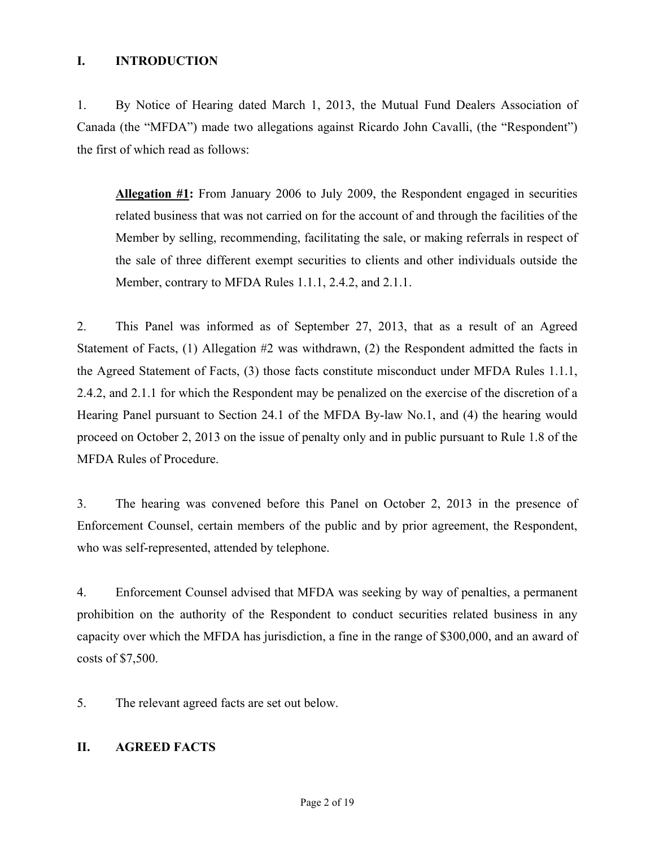#### **I. INTRODUCTION**

1. By Notice of Hearing dated March 1, 2013, the Mutual Fund Dealers Association of Canada (the "MFDA") made two allegations against Ricardo John Cavalli, (the "Respondent") the first of which read as follows:

**Allegation #1:** From January 2006 to July 2009, the Respondent engaged in securities related business that was not carried on for the account of and through the facilities of the Member by selling, recommending, facilitating the sale, or making referrals in respect of the sale of three different exempt securities to clients and other individuals outside the Member, contrary to MFDA Rules 1.1.1, 2.4.2, and 2.1.1.

2. This Panel was informed as of September 27, 2013, that as a result of an Agreed Statement of Facts, (1) Allegation #2 was withdrawn, (2) the Respondent admitted the facts in the Agreed Statement of Facts, (3) those facts constitute misconduct under MFDA Rules 1.1.1, 2.4.2, and 2.1.1 for which the Respondent may be penalized on the exercise of the discretion of a Hearing Panel pursuant to Section 24.1 of the MFDA By-law No.1, and (4) the hearing would proceed on October 2, 2013 on the issue of penalty only and in public pursuant to Rule 1.8 of the MFDA Rules of Procedure.

3. The hearing was convened before this Panel on October 2, 2013 in the presence of Enforcement Counsel, certain members of the public and by prior agreement, the Respondent, who was self-represented, attended by telephone.

4. Enforcement Counsel advised that MFDA was seeking by way of penalties, a permanent prohibition on the authority of the Respondent to conduct securities related business in any capacity over which the MFDA has jurisdiction, a fine in the range of \$300,000, and an award of costs of \$7,500.

5. The relevant agreed facts are set out below.

#### **II. AGREED FACTS**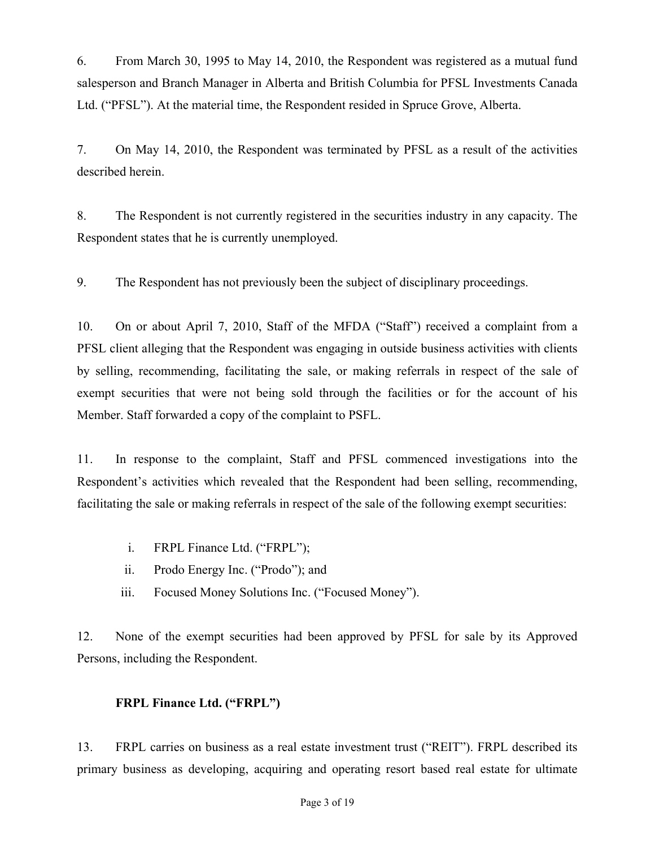6. From March 30, 1995 to May 14, 2010, the Respondent was registered as a mutual fund salesperson and Branch Manager in Alberta and British Columbia for PFSL Investments Canada Ltd. ("PFSL"). At the material time, the Respondent resided in Spruce Grove, Alberta.

7. On May 14, 2010, the Respondent was terminated by PFSL as a result of the activities described herein.

8. The Respondent is not currently registered in the securities industry in any capacity. The Respondent states that he is currently unemployed.

9. The Respondent has not previously been the subject of disciplinary proceedings.

10. On or about April 7, 2010, Staff of the MFDA ("Staff") received a complaint from a PFSL client alleging that the Respondent was engaging in outside business activities with clients by selling, recommending, facilitating the sale, or making referrals in respect of the sale of exempt securities that were not being sold through the facilities or for the account of his Member. Staff forwarded a copy of the complaint to PSFL.

11. In response to the complaint, Staff and PFSL commenced investigations into the Respondent's activities which revealed that the Respondent had been selling, recommending, facilitating the sale or making referrals in respect of the sale of the following exempt securities:

- i. FRPL Finance Ltd. ("FRPL");
- ii. Prodo Energy Inc. ("Prodo"); and
- iii. Focused Money Solutions Inc. ("Focused Money").

12. None of the exempt securities had been approved by PFSL for sale by its Approved Persons, including the Respondent.

### **FRPL Finance Ltd. ("FRPL")**

13. FRPL carries on business as a real estate investment trust ("REIT"). FRPL described its primary business as developing, acquiring and operating resort based real estate for ultimate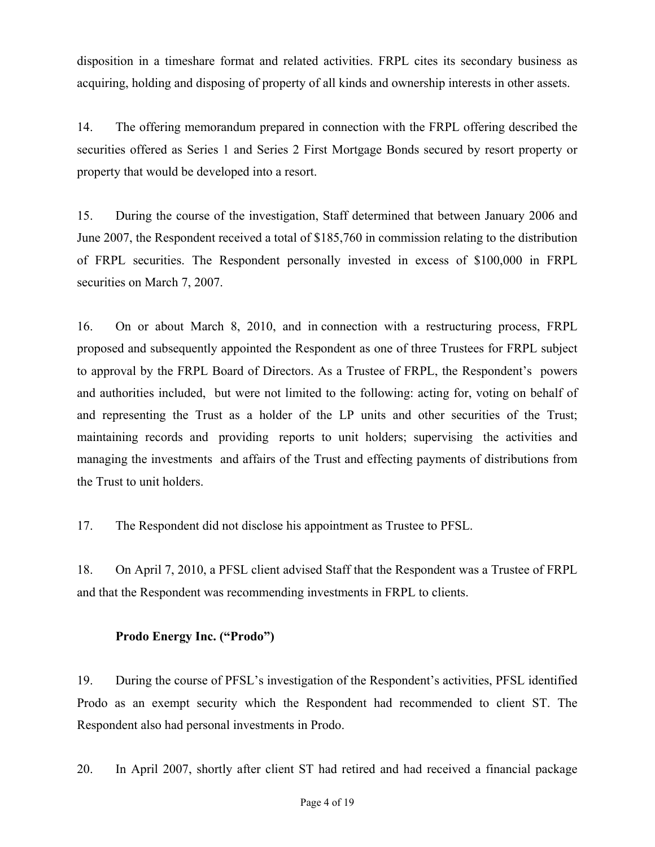disposition in a timeshare format and related activities. FRPL cites its secondary business as acquiring, holding and disposing of property of all kinds and ownership interests in other assets.

14. The offering memorandum prepared in connection with the FRPL offering described the securities offered as Series 1 and Series 2 First Mortgage Bonds secured by resort property or property that would be developed into a resort.

15. During the course of the investigation, Staff determined that between January 2006 and June 2007, the Respondent received a total of \$185,760 in commission relating to the distribution of FRPL securities. The Respondent personally invested in excess of \$100,000 in FRPL securities on March 7, 2007.

16. On or about March 8, 2010, and in connection with a restructuring process, FRPL proposed and subsequently appointed the Respondent as one of three Trustees for FRPL subject to approval by the FRPL Board of Directors. As a Trustee of FRPL, the Respondent's powers and authorities included, but were not limited to the following: acting for, voting on behalf of and representing the Trust as a holder of the LP units and other securities of the Trust; maintaining records and providing reports to unit holders; supervising the activities and managing the investments and affairs of the Trust and effecting payments of distributions from the Trust to unit holders.

17. The Respondent did not disclose his appointment as Trustee to PFSL.

18. On April 7, 2010, a PFSL client advised Staff that the Respondent was a Trustee of FRPL and that the Respondent was recommending investments in FRPL to clients.

#### **Prodo Energy Inc. ("Prodo")**

19. During the course of PFSL's investigation of the Respondent's activities, PFSL identified Prodo as an exempt security which the Respondent had recommended to client ST. The Respondent also had personal investments in Prodo.

20. In April 2007, shortly after client ST had retired and had received a financial package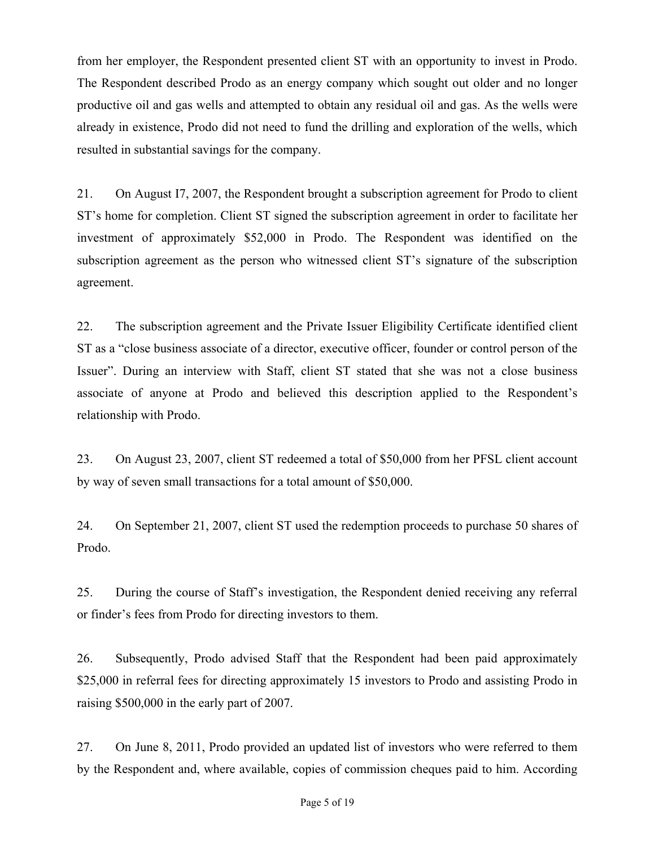from her employer, the Respondent presented client ST with an opportunity to invest in Prodo. The Respondent described Prodo as an energy company which sought out older and no longer productive oil and gas wells and attempted to obtain any residual oil and gas. As the wells were already in existence, Prodo did not need to fund the drilling and exploration of the wells, which resulted in substantial savings for the company.

21. On August I7, 2007, the Respondent brought a subscription agreement for Prodo to client ST's home for completion. Client ST signed the subscription agreement in order to facilitate her investment of approximately \$52,000 in Prodo. The Respondent was identified on the subscription agreement as the person who witnessed client ST's signature of the subscription agreement.

22. The subscription agreement and the Private Issuer Eligibility Certificate identified client ST as a "close business associate of a director, executive officer, founder or control person of the Issuer". During an interview with Staff, client ST stated that she was not a close business associate of anyone at Prodo and believed this description applied to the Respondent's relationship with Prodo.

23. On August 23, 2007, client ST redeemed a total of \$50,000 from her PFSL client account by way of seven small transactions for a total amount of \$50,000.

24. On September 21, 2007, client ST used the redemption proceeds to purchase 50 shares of Prodo.

25. During the course of Staff's investigation, the Respondent denied receiving any referral or finder's fees from Prodo for directing investors to them.

26. Subsequently, Prodo advised Staff that the Respondent had been paid approximately \$25,000 in referral fees for directing approximately 15 investors to Prodo and assisting Prodo in raising \$500,000 in the early part of 2007.

27. On June 8, 2011, Prodo provided an updated list of investors who were referred to them by the Respondent and, where available, copies of commission cheques paid to him. According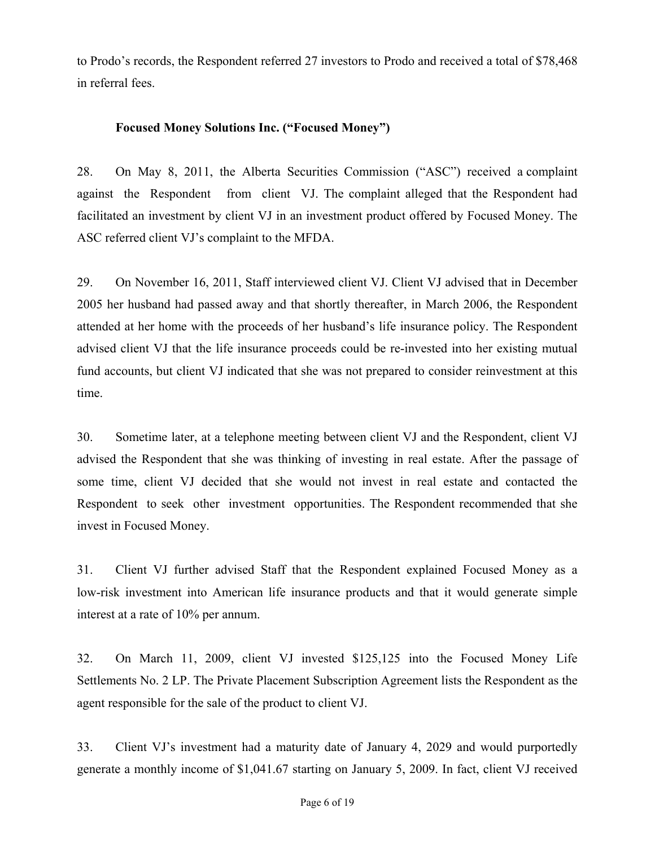to Prodo's records, the Respondent referred 27 investors to Prodo and received a total of \$78,468 in referral fees.

#### **Focused Money Solutions Inc. ("Focused Money")**

28. On May 8, 2011, the Alberta Securities Commission ("ASC") received a complaint against the Respondent from client VJ. The complaint alleged that the Respondent had facilitated an investment by client VJ in an investment product offered by Focused Money. The ASC referred client VJ's complaint to the MFDA.

29. On November 16, 2011, Staff interviewed client VJ. Client VJ advised that in December 2005 her husband had passed away and that shortly thereafter, in March 2006, the Respondent attended at her home with the proceeds of her husband's life insurance policy. The Respondent advised client VJ that the life insurance proceeds could be re-invested into her existing mutual fund accounts, but client VJ indicated that she was not prepared to consider reinvestment at this time.

30. Sometime later, at a telephone meeting between client VJ and the Respondent, client VJ advised the Respondent that she was thinking of investing in real estate. After the passage of some time, client VJ decided that she would not invest in real estate and contacted the Respondent to seek other investment opportunities. The Respondent recommended that she invest in Focused Money.

31. Client VJ further advised Staff that the Respondent explained Focused Money as a low-risk investment into American life insurance products and that it would generate simple interest at a rate of 10% per annum.

32. On March 11, 2009, client VJ invested \$125,125 into the Focused Money Life Settlements No. 2 LP. The Private Placement Subscription Agreement lists the Respondent as the agent responsible for the sale of the product to client VJ.

33. Client VJ's investment had a maturity date of January 4, 2029 and would purportedly generate a monthly income of \$1,041.67 starting on January 5, 2009. In fact, client VJ received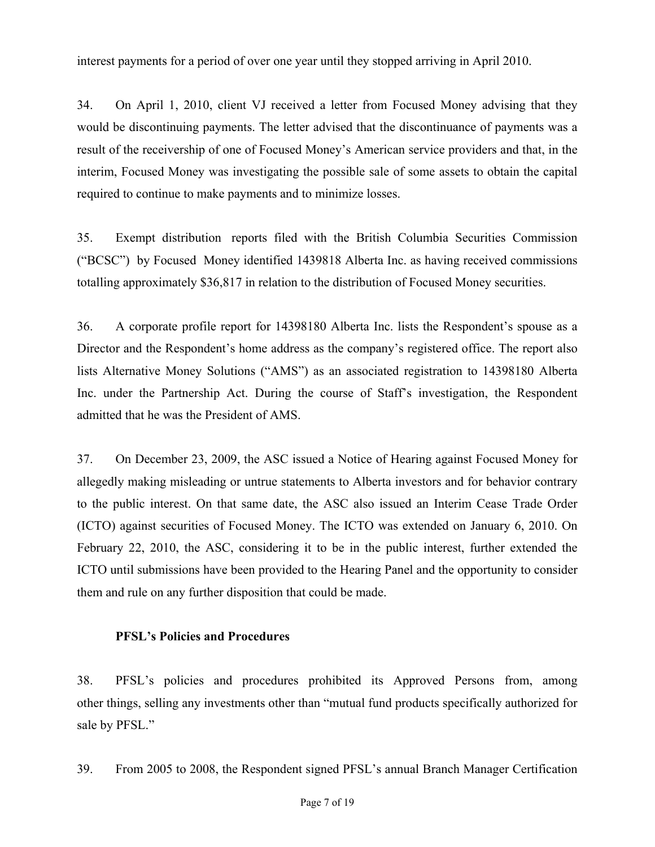interest payments for a period of over one year until they stopped arriving in April 2010.

34. On April 1, 2010, client VJ received a letter from Focused Money advising that they would be discontinuing payments. The letter advised that the discontinuance of payments was a result of the receivership of one of Focused Money's American service providers and that, in the interim, Focused Money was investigating the possible sale of some assets to obtain the capital required to continue to make payments and to minimize losses.

35. Exempt distribution reports filed with the British Columbia Securities Commission ("BCSC") by Focused Money identified 1439818 Alberta Inc. as having received commissions totalling approximately \$36,817 in relation to the distribution of Focused Money securities.

36. A corporate profile report for 14398180 Alberta Inc. lists the Respondent's spouse as a Director and the Respondent's home address as the company's registered office. The report also lists Alternative Money Solutions ("AMS") as an associated registration to 14398180 Alberta Inc. under the Partnership Act. During the course of Staff's investigation, the Respondent admitted that he was the President of AMS.

37. On December 23, 2009, the ASC issued a Notice of Hearing against Focused Money for allegedly making misleading or untrue statements to Alberta investors and for behavior contrary to the public interest. On that same date, the ASC also issued an Interim Cease Trade Order (ICTO) against securities of Focused Money. The ICTO was extended on January 6, 2010. On February 22, 2010, the ASC, considering it to be in the public interest, further extended the ICTO until submissions have been provided to the Hearing Panel and the opportunity to consider them and rule on any further disposition that could be made.

#### **PFSL's Policies and Procedures**

38. PFSL's policies and procedures prohibited its Approved Persons from, among other things, selling any investments other than "mutual fund products specifically authorized for sale by PFSL."

39. From 2005 to 2008, the Respondent signed PFSL's annual Branch Manager Certification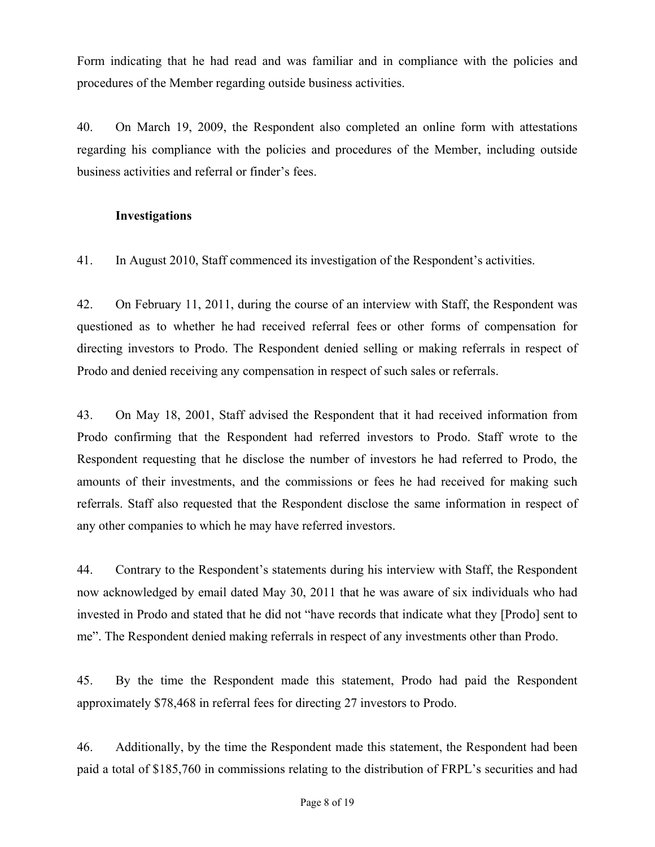Form indicating that he had read and was familiar and in compliance with the policies and procedures of the Member regarding outside business activities.

40. On March 19, 2009, the Respondent also completed an online form with attestations regarding his compliance with the policies and procedures of the Member, including outside business activities and referral or finder's fees.

#### **Investigations**

41. In August 2010, Staff commenced its investigation of the Respondent's activities.

42. On February 11, 2011, during the course of an interview with Staff, the Respondent was questioned as to whether he had received referral fees or other forms of compensation for directing investors to Prodo. The Respondent denied selling or making referrals in respect of Prodo and denied receiving any compensation in respect of such sales or referrals.

43. On May 18, 2001, Staff advised the Respondent that it had received information from Prodo confirming that the Respondent had referred investors to Prodo. Staff wrote to the Respondent requesting that he disclose the number of investors he had referred to Prodo, the amounts of their investments, and the commissions or fees he had received for making such referrals. Staff also requested that the Respondent disclose the same information in respect of any other companies to which he may have referred investors.

44. Contrary to the Respondent's statements during his interview with Staff, the Respondent now acknowledged by email dated May 30, 2011 that he was aware of six individuals who had invested in Prodo and stated that he did not "have records that indicate what they [Prodo] sent to me". The Respondent denied making referrals in respect of any investments other than Prodo.

45. By the time the Respondent made this statement, Prodo had paid the Respondent approximately \$78,468 in referral fees for directing 27 investors to Prodo.

46. Additionally, by the time the Respondent made this statement, the Respondent had been paid a total of \$185,760 in commissions relating to the distribution of FRPL's securities and had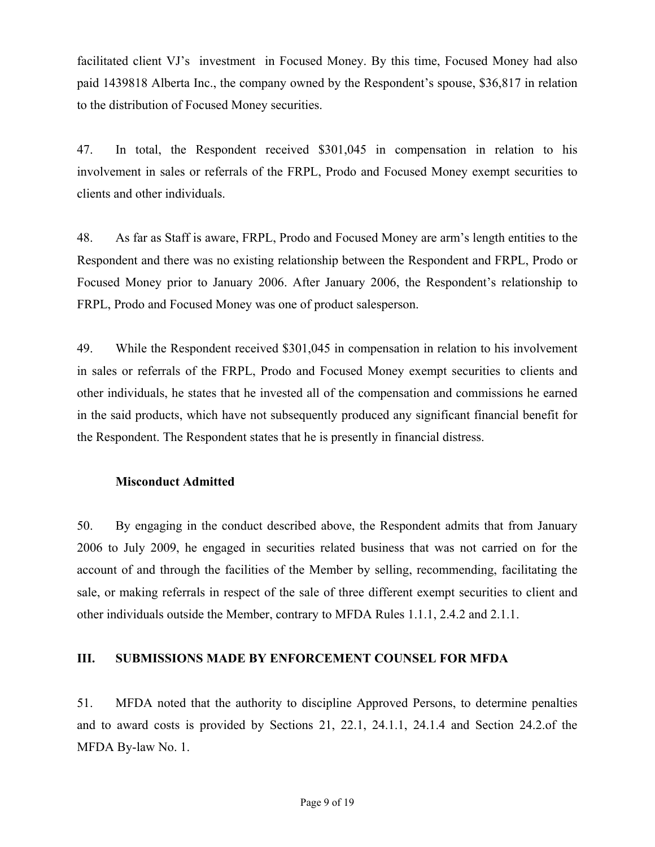facilitated client VJ's investment in Focused Money. By this time, Focused Money had also paid 1439818 Alberta Inc., the company owned by the Respondent's spouse, \$36,817 in relation to the distribution of Focused Money securities.

47. In total, the Respondent received \$301,045 in compensation in relation to his involvement in sales or referrals of the FRPL, Prodo and Focused Money exempt securities to clients and other individuals.

48. As far as Staff is aware, FRPL, Prodo and Focused Money are arm's length entities to the Respondent and there was no existing relationship between the Respondent and FRPL, Prodo or Focused Money prior to January 2006. After January 2006, the Respondent's relationship to FRPL, Prodo and Focused Money was one of product salesperson.

49. While the Respondent received \$301,045 in compensation in relation to his involvement in sales or referrals of the FRPL, Prodo and Focused Money exempt securities to clients and other individuals, he states that he invested all of the compensation and commissions he earned in the said products, which have not subsequently produced any significant financial benefit for the Respondent. The Respondent states that he is presently in financial distress.

#### **Misconduct Admitted**

50. By engaging in the conduct described above, the Respondent admits that from January 2006 to July 2009, he engaged in securities related business that was not carried on for the account of and through the facilities of the Member by selling, recommending, facilitating the sale, or making referrals in respect of the sale of three different exempt securities to client and other individuals outside the Member, contrary to MFDA Rules 1.1.1, 2.4.2 and 2.1.1.

#### **III. SUBMISSIONS MADE BY ENFORCEMENT COUNSEL FOR MFDA**

51. MFDA noted that the authority to discipline Approved Persons, to determine penalties and to award costs is provided by Sections 21, 22.1, 24.1.1, 24.1.4 and Section 24.2.of the MFDA By-law No. 1.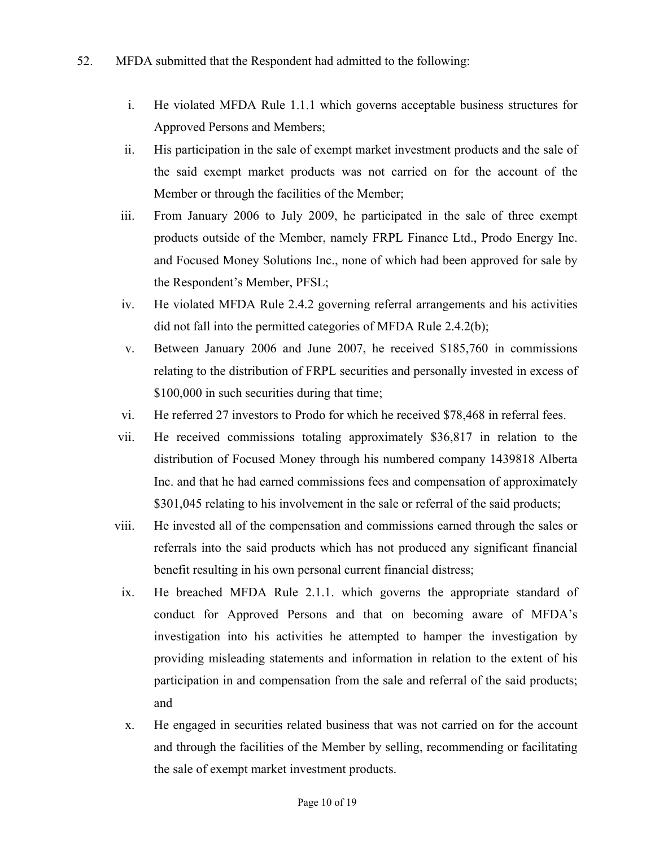- i. He violated MFDA Rule 1.1.1 which governs acceptable business structures for Approved Persons and Members;
- ii. His participation in the sale of exempt market investment products and the sale of the said exempt market products was not carried on for the account of the Member or through the facilities of the Member;
- iii. From January 2006 to July 2009, he participated in the sale of three exempt products outside of the Member, namely FRPL Finance Ltd., Prodo Energy Inc. and Focused Money Solutions Inc., none of which had been approved for sale by the Respondent's Member, PFSL;
- iv. He violated MFDA Rule 2.4.2 governing referral arrangements and his activities did not fall into the permitted categories of MFDA Rule 2.4.2(b);
- v. Between January 2006 and June 2007, he received \$185,760 in commissions relating to the distribution of FRPL securities and personally invested in excess of \$100,000 in such securities during that time;
- vi. He referred 27 investors to Prodo for which he received \$78,468 in referral fees.
- vii. He received commissions totaling approximately \$36,817 in relation to the distribution of Focused Money through his numbered company 1439818 Alberta Inc. and that he had earned commissions fees and compensation of approximately \$301,045 relating to his involvement in the sale or referral of the said products;
- viii. He invested all of the compensation and commissions earned through the sales or referrals into the said products which has not produced any significant financial benefit resulting in his own personal current financial distress;
	- ix. He breached MFDA Rule 2.1.1. which governs the appropriate standard of conduct for Approved Persons and that on becoming aware of MFDA's investigation into his activities he attempted to hamper the investigation by providing misleading statements and information in relation to the extent of his participation in and compensation from the sale and referral of the said products; and
	- x. He engaged in securities related business that was not carried on for the account and through the facilities of the Member by selling, recommending or facilitating the sale of exempt market investment products.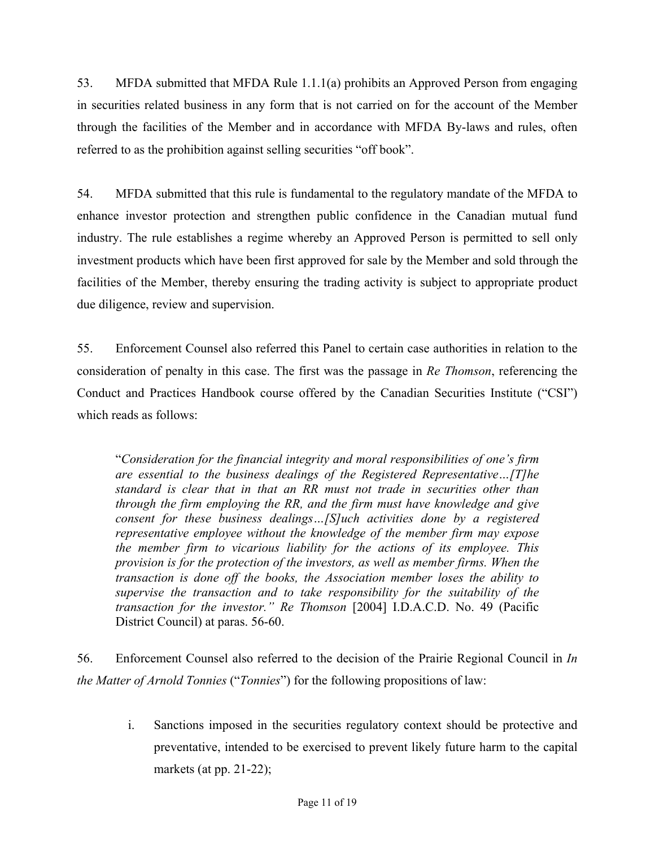53. MFDA submitted that MFDA Rule 1.1.1(a) prohibits an Approved Person from engaging in securities related business in any form that is not carried on for the account of the Member through the facilities of the Member and in accordance with MFDA By-laws and rules, often referred to as the prohibition against selling securities "off book".

54. MFDA submitted that this rule is fundamental to the regulatory mandate of the MFDA to enhance investor protection and strengthen public confidence in the Canadian mutual fund industry. The rule establishes a regime whereby an Approved Person is permitted to sell only investment products which have been first approved for sale by the Member and sold through the facilities of the Member, thereby ensuring the trading activity is subject to appropriate product due diligence, review and supervision.

55. Enforcement Counsel also referred this Panel to certain case authorities in relation to the consideration of penalty in this case. The first was the passage in *Re Thomson*, referencing the Conduct and Practices Handbook course offered by the Canadian Securities Institute ("CSI") which reads as follows:

"*Consideration for the financial integrity and moral responsibilities of one's firm are essential to the business dealings of the Registered Representative…[T]he standard is clear that in that an RR must not trade in securities other than through the firm employing the RR, and the firm must have knowledge and give consent for these business dealings…[S]uch activities done by a registered representative employee without the knowledge of the member firm may expose the member firm to vicarious liability for the actions of its employee. This provision is for the protection of the investors, as well as member firms. When the transaction is done off the books, the Association member loses the ability to supervise the transaction and to take responsibility for the suitability of the transaction for the investor." Re Thomson* [2004] I.D.A.C.D. No. 49 (Pacific District Council) at paras. 56-60.

56. Enforcement Counsel also referred to the decision of the Prairie Regional Council in *In the Matter of Arnold Tonnies* ("*Tonnies*") for the following propositions of law:

i. Sanctions imposed in the securities regulatory context should be protective and preventative, intended to be exercised to prevent likely future harm to the capital markets (at pp. 21-22);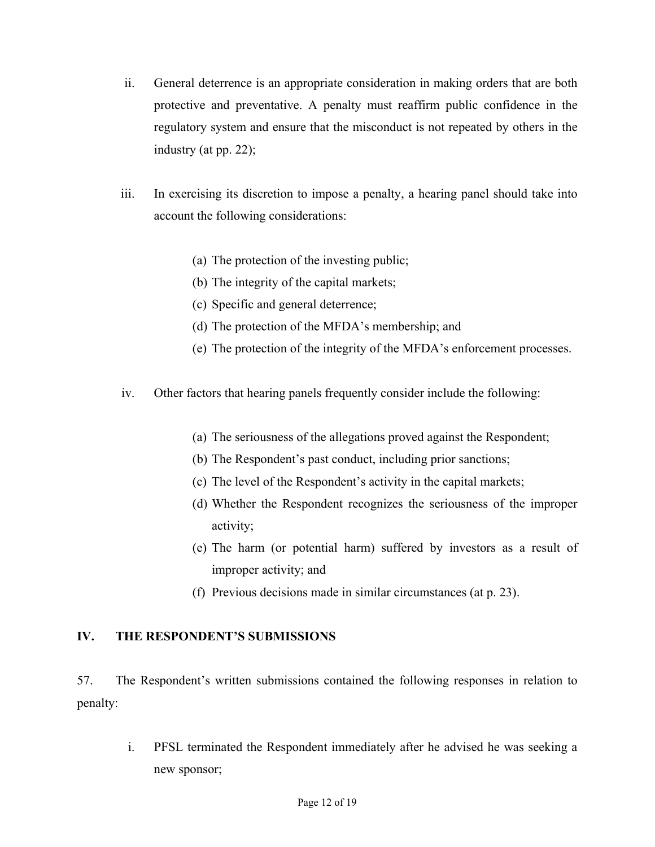- ii. General deterrence is an appropriate consideration in making orders that are both protective and preventative. A penalty must reaffirm public confidence in the regulatory system and ensure that the misconduct is not repeated by others in the industry (at pp. 22);
- iii. In exercising its discretion to impose a penalty, a hearing panel should take into account the following considerations:
	- (a) The protection of the investing public;
	- (b) The integrity of the capital markets;
	- (c) Specific and general deterrence;
	- (d) The protection of the MFDA's membership; and
	- (e) The protection of the integrity of the MFDA's enforcement processes.
- iv. Other factors that hearing panels frequently consider include the following:
	- (a) The seriousness of the allegations proved against the Respondent;
	- (b) The Respondent's past conduct, including prior sanctions;
	- (c) The level of the Respondent's activity in the capital markets;
	- (d) Whether the Respondent recognizes the seriousness of the improper activity;
	- (e) The harm (or potential harm) suffered by investors as a result of improper activity; and
	- (f) Previous decisions made in similar circumstances (at p. 23).

#### **IV. THE RESPONDENT'S SUBMISSIONS**

57. The Respondent's written submissions contained the following responses in relation to penalty:

> i. PFSL terminated the Respondent immediately after he advised he was seeking a new sponsor;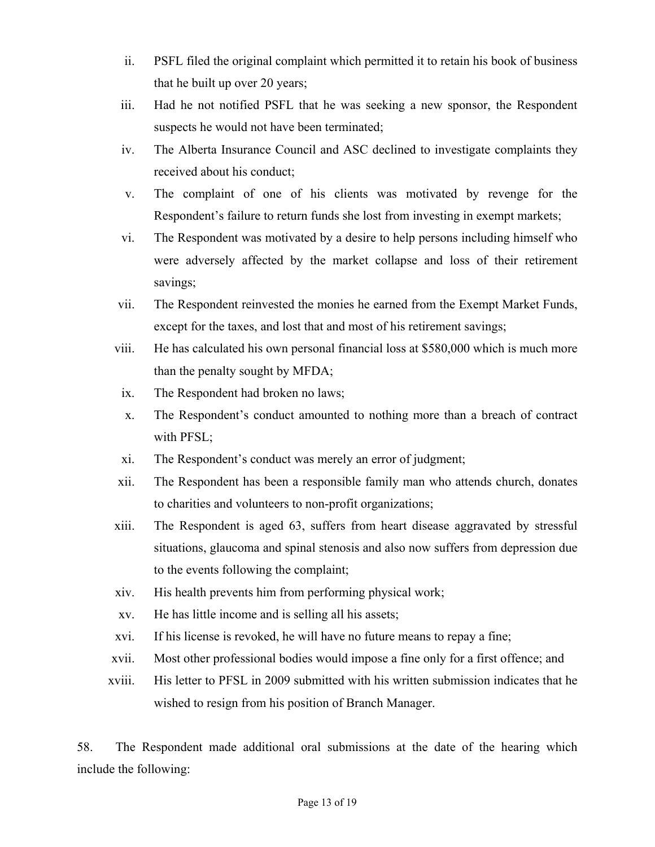- ii. PSFL filed the original complaint which permitted it to retain his book of business that he built up over 20 years;
- iii. Had he not notified PSFL that he was seeking a new sponsor, the Respondent suspects he would not have been terminated;
- iv. The Alberta Insurance Council and ASC declined to investigate complaints they received about his conduct;
- v. The complaint of one of his clients was motivated by revenge for the Respondent's failure to return funds she lost from investing in exempt markets;
- vi. The Respondent was motivated by a desire to help persons including himself who were adversely affected by the market collapse and loss of their retirement savings;
- vii. The Respondent reinvested the monies he earned from the Exempt Market Funds, except for the taxes, and lost that and most of his retirement savings;
- viii. He has calculated his own personal financial loss at \$580,000 which is much more than the penalty sought by MFDA;
	- ix. The Respondent had broken no laws;
	- x. The Respondent's conduct amounted to nothing more than a breach of contract with PFSL;
	- xi. The Respondent's conduct was merely an error of judgment;
- xii. The Respondent has been a responsible family man who attends church, donates to charities and volunteers to non-profit organizations;
- xiii. The Respondent is aged 63, suffers from heart disease aggravated by stressful situations, glaucoma and spinal stenosis and also now suffers from depression due to the events following the complaint;
- xiv. His health prevents him from performing physical work;
- xv. He has little income and is selling all his assets;
- xvi. If his license is revoked, he will have no future means to repay a fine;
- xvii. Most other professional bodies would impose a fine only for a first offence; and
- xviii. His letter to PFSL in 2009 submitted with his written submission indicates that he wished to resign from his position of Branch Manager.

58. The Respondent made additional oral submissions at the date of the hearing which include the following: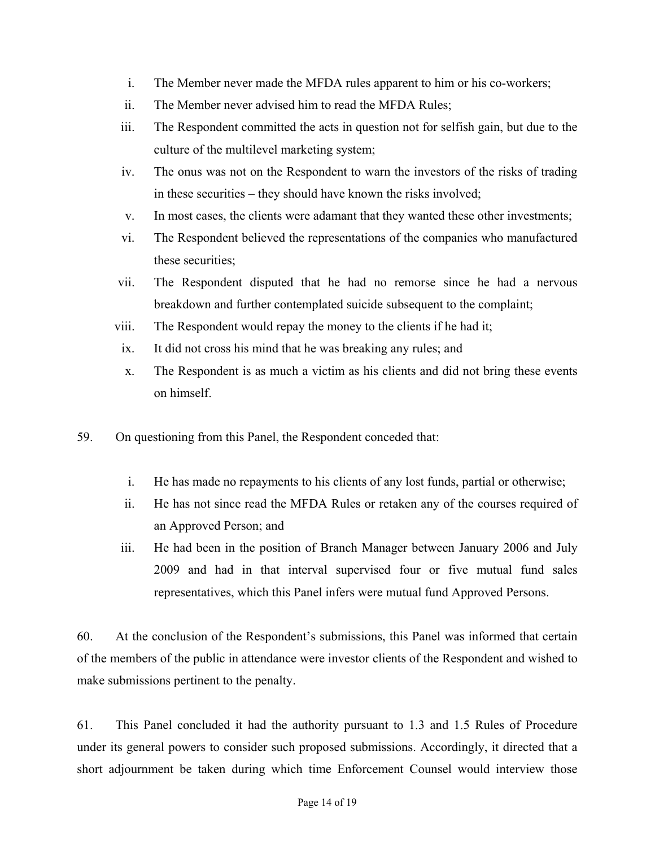- i. The Member never made the MFDA rules apparent to him or his co-workers;
- ii. The Member never advised him to read the MFDA Rules;
- iii. The Respondent committed the acts in question not for selfish gain, but due to the culture of the multilevel marketing system;
- iv. The onus was not on the Respondent to warn the investors of the risks of trading in these securities – they should have known the risks involved;
- v. In most cases, the clients were adamant that they wanted these other investments;
- vi. The Respondent believed the representations of the companies who manufactured these securities;
- vii. The Respondent disputed that he had no remorse since he had a nervous breakdown and further contemplated suicide subsequent to the complaint;
- viii. The Respondent would repay the money to the clients if he had it;
	- ix. It did not cross his mind that he was breaking any rules; and
	- x. The Respondent is as much a victim as his clients and did not bring these events on himself.
- 59. On questioning from this Panel, the Respondent conceded that:
	- i. He has made no repayments to his clients of any lost funds, partial or otherwise;
	- ii. He has not since read the MFDA Rules or retaken any of the courses required of an Approved Person; and
	- iii. He had been in the position of Branch Manager between January 2006 and July 2009 and had in that interval supervised four or five mutual fund sales representatives, which this Panel infers were mutual fund Approved Persons.

60. At the conclusion of the Respondent's submissions, this Panel was informed that certain of the members of the public in attendance were investor clients of the Respondent and wished to make submissions pertinent to the penalty.

61. This Panel concluded it had the authority pursuant to 1.3 and 1.5 Rules of Procedure under its general powers to consider such proposed submissions. Accordingly, it directed that a short adjournment be taken during which time Enforcement Counsel would interview those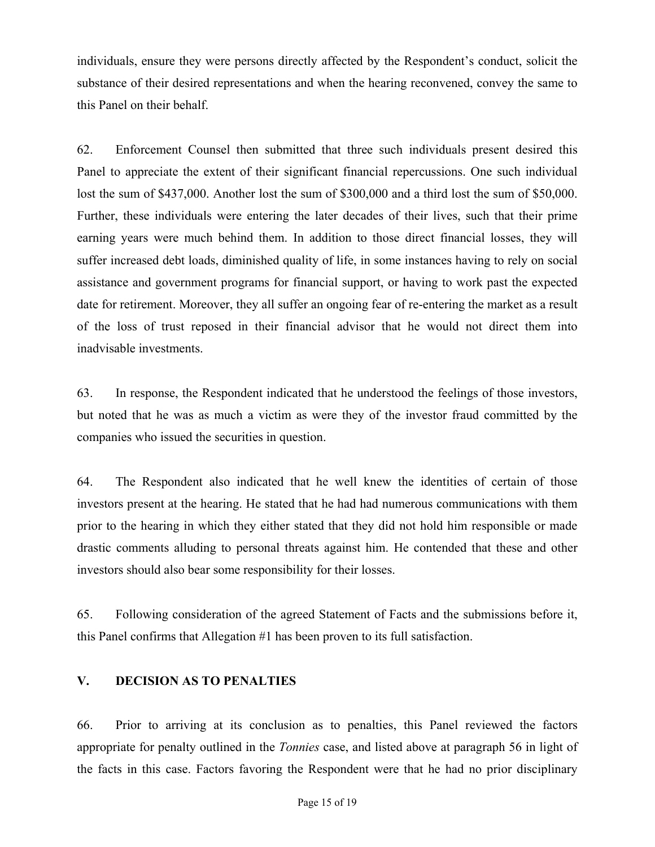individuals, ensure they were persons directly affected by the Respondent's conduct, solicit the substance of their desired representations and when the hearing reconvened, convey the same to this Panel on their behalf.

62. Enforcement Counsel then submitted that three such individuals present desired this Panel to appreciate the extent of their significant financial repercussions. One such individual lost the sum of \$437,000. Another lost the sum of \$300,000 and a third lost the sum of \$50,000. Further, these individuals were entering the later decades of their lives, such that their prime earning years were much behind them. In addition to those direct financial losses, they will suffer increased debt loads, diminished quality of life, in some instances having to rely on social assistance and government programs for financial support, or having to work past the expected date for retirement. Moreover, they all suffer an ongoing fear of re-entering the market as a result of the loss of trust reposed in their financial advisor that he would not direct them into inadvisable investments.

63. In response, the Respondent indicated that he understood the feelings of those investors, but noted that he was as much a victim as were they of the investor fraud committed by the companies who issued the securities in question.

64. The Respondent also indicated that he well knew the identities of certain of those investors present at the hearing. He stated that he had had numerous communications with them prior to the hearing in which they either stated that they did not hold him responsible or made drastic comments alluding to personal threats against him. He contended that these and other investors should also bear some responsibility for their losses.

65. Following consideration of the agreed Statement of Facts and the submissions before it, this Panel confirms that Allegation #1 has been proven to its full satisfaction.

#### **V. DECISION AS TO PENALTIES**

66. Prior to arriving at its conclusion as to penalties, this Panel reviewed the factors appropriate for penalty outlined in the *Tonnies* case, and listed above at paragraph 56 in light of the facts in this case. Factors favoring the Respondent were that he had no prior disciplinary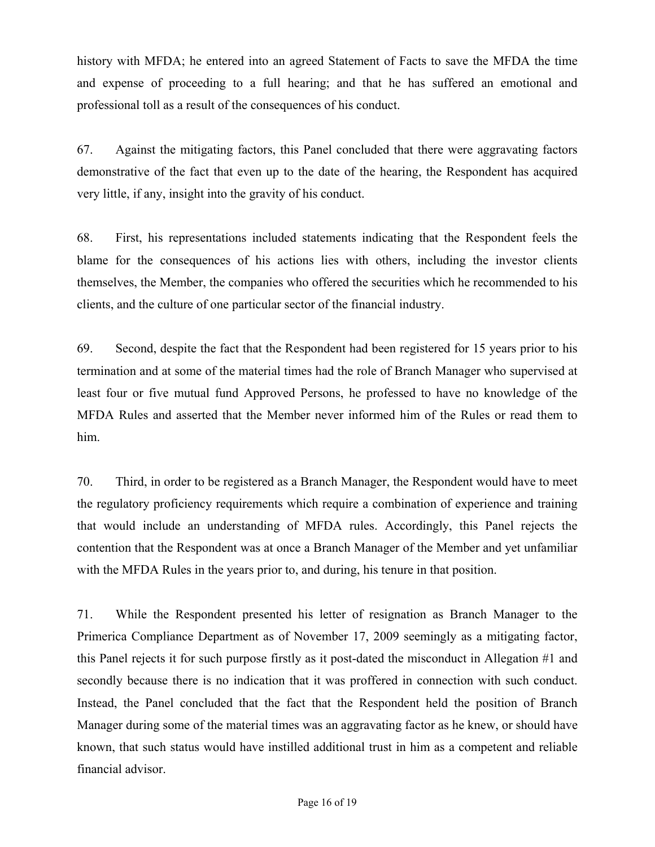history with MFDA; he entered into an agreed Statement of Facts to save the MFDA the time and expense of proceeding to a full hearing; and that he has suffered an emotional and professional toll as a result of the consequences of his conduct.

67. Against the mitigating factors, this Panel concluded that there were aggravating factors demonstrative of the fact that even up to the date of the hearing, the Respondent has acquired very little, if any, insight into the gravity of his conduct.

68. First, his representations included statements indicating that the Respondent feels the blame for the consequences of his actions lies with others, including the investor clients themselves, the Member, the companies who offered the securities which he recommended to his clients, and the culture of one particular sector of the financial industry.

69. Second, despite the fact that the Respondent had been registered for 15 years prior to his termination and at some of the material times had the role of Branch Manager who supervised at least four or five mutual fund Approved Persons, he professed to have no knowledge of the MFDA Rules and asserted that the Member never informed him of the Rules or read them to him.

70. Third, in order to be registered as a Branch Manager, the Respondent would have to meet the regulatory proficiency requirements which require a combination of experience and training that would include an understanding of MFDA rules. Accordingly, this Panel rejects the contention that the Respondent was at once a Branch Manager of the Member and yet unfamiliar with the MFDA Rules in the years prior to, and during, his tenure in that position.

71. While the Respondent presented his letter of resignation as Branch Manager to the Primerica Compliance Department as of November 17, 2009 seemingly as a mitigating factor, this Panel rejects it for such purpose firstly as it post-dated the misconduct in Allegation #1 and secondly because there is no indication that it was proffered in connection with such conduct. Instead, the Panel concluded that the fact that the Respondent held the position of Branch Manager during some of the material times was an aggravating factor as he knew, or should have known, that such status would have instilled additional trust in him as a competent and reliable financial advisor.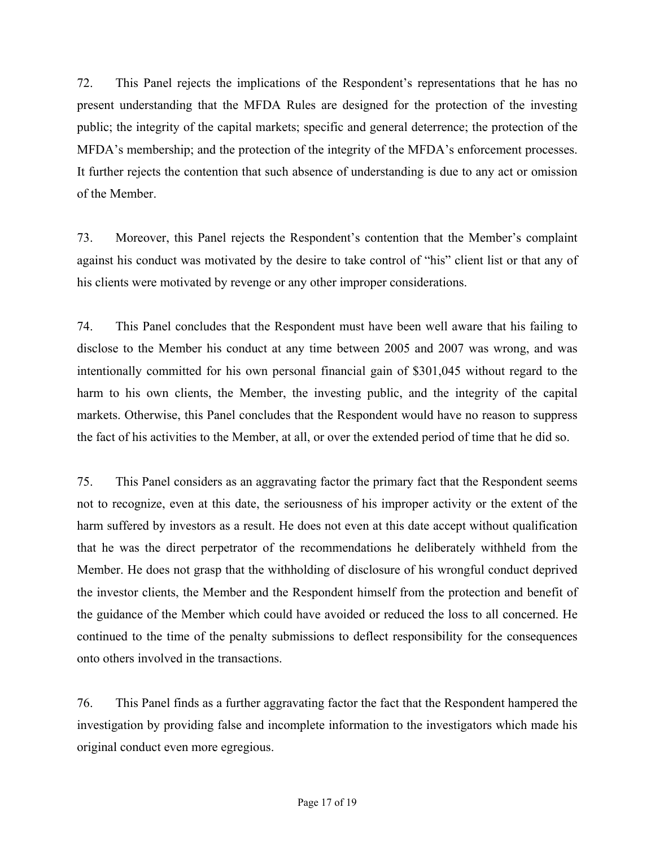72. This Panel rejects the implications of the Respondent's representations that he has no present understanding that the MFDA Rules are designed for the protection of the investing public; the integrity of the capital markets; specific and general deterrence; the protection of the MFDA's membership; and the protection of the integrity of the MFDA's enforcement processes. It further rejects the contention that such absence of understanding is due to any act or omission of the Member.

73. Moreover, this Panel rejects the Respondent's contention that the Member's complaint against his conduct was motivated by the desire to take control of "his" client list or that any of his clients were motivated by revenge or any other improper considerations.

74. This Panel concludes that the Respondent must have been well aware that his failing to disclose to the Member his conduct at any time between 2005 and 2007 was wrong, and was intentionally committed for his own personal financial gain of \$301,045 without regard to the harm to his own clients, the Member, the investing public, and the integrity of the capital markets. Otherwise, this Panel concludes that the Respondent would have no reason to suppress the fact of his activities to the Member, at all, or over the extended period of time that he did so.

75. This Panel considers as an aggravating factor the primary fact that the Respondent seems not to recognize, even at this date, the seriousness of his improper activity or the extent of the harm suffered by investors as a result. He does not even at this date accept without qualification that he was the direct perpetrator of the recommendations he deliberately withheld from the Member. He does not grasp that the withholding of disclosure of his wrongful conduct deprived the investor clients, the Member and the Respondent himself from the protection and benefit of the guidance of the Member which could have avoided or reduced the loss to all concerned. He continued to the time of the penalty submissions to deflect responsibility for the consequences onto others involved in the transactions.

76. This Panel finds as a further aggravating factor the fact that the Respondent hampered the investigation by providing false and incomplete information to the investigators which made his original conduct even more egregious.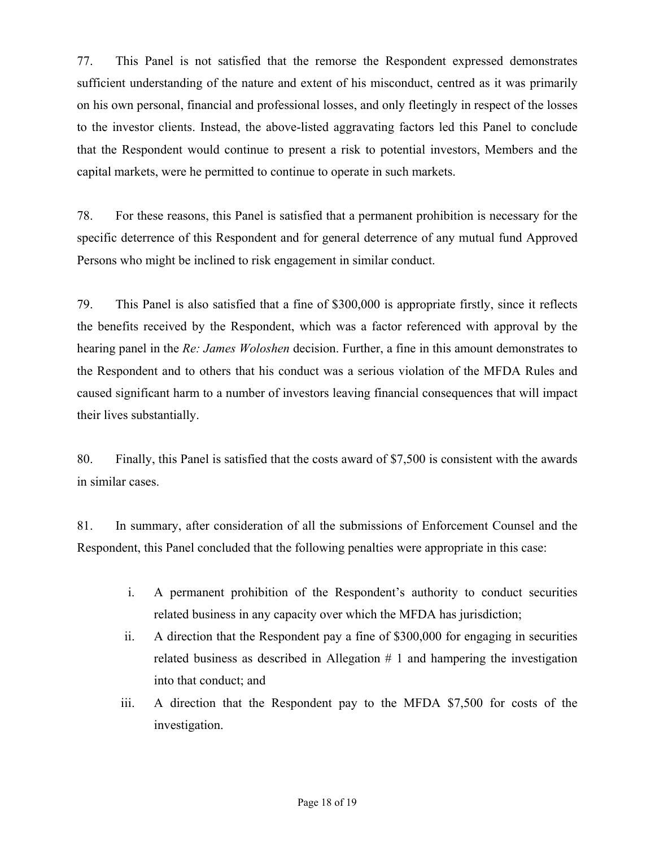77. This Panel is not satisfied that the remorse the Respondent expressed demonstrates sufficient understanding of the nature and extent of his misconduct, centred as it was primarily on his own personal, financial and professional losses, and only fleetingly in respect of the losses to the investor clients. Instead, the above-listed aggravating factors led this Panel to conclude that the Respondent would continue to present a risk to potential investors, Members and the capital markets, were he permitted to continue to operate in such markets.

78. For these reasons, this Panel is satisfied that a permanent prohibition is necessary for the specific deterrence of this Respondent and for general deterrence of any mutual fund Approved Persons who might be inclined to risk engagement in similar conduct.

79. This Panel is also satisfied that a fine of \$300,000 is appropriate firstly, since it reflects the benefits received by the Respondent, which was a factor referenced with approval by the hearing panel in the *Re: James Woloshen* decision. Further, a fine in this amount demonstrates to the Respondent and to others that his conduct was a serious violation of the MFDA Rules and caused significant harm to a number of investors leaving financial consequences that will impact their lives substantially.

80. Finally, this Panel is satisfied that the costs award of \$7,500 is consistent with the awards in similar cases.

81. In summary, after consideration of all the submissions of Enforcement Counsel and the Respondent, this Panel concluded that the following penalties were appropriate in this case:

- i. A permanent prohibition of the Respondent's authority to conduct securities related business in any capacity over which the MFDA has jurisdiction;
- ii. A direction that the Respondent pay a fine of \$300,000 for engaging in securities related business as described in Allegation  $# 1$  and hampering the investigation into that conduct; and
- iii. A direction that the Respondent pay to the MFDA \$7,500 for costs of the investigation.